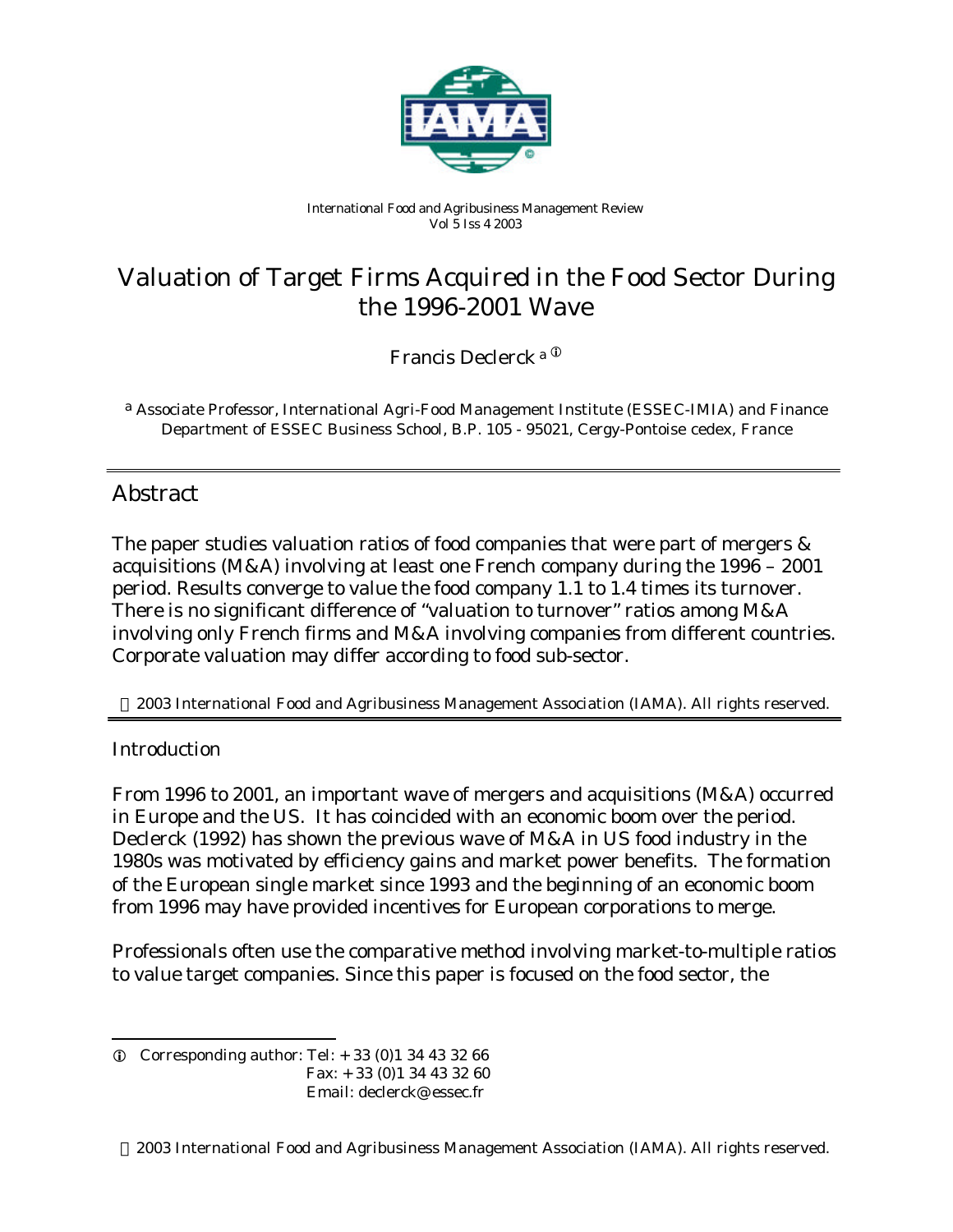

*International Food and Agribusiness Management Review Vol 5 Iss 4 2003*

# Valuation of Target Firms Acquired in the Food Sector During the 1996-2001 Wave

Francis Declerck a<sup>O</sup>

a *Associate Professor, International Agri-Food Management Institute (ESSEC-IMIA) and Finance Department of ESSEC Business School, B.P. 105 - 95021, Cergy-Pontoise cedex, France*

# Abstract

The paper studies valuation ratios of food companies that were part of mergers  $\&$ acquisitions (M&A) involving at least one French company during the 1996 – 2001 period. Results converge to value the food company 1.1 to 1.4 times its turnover. There is no significant difference of "valuation to turnover" ratios among M&A involving only French firms and M&A involving companies from different countries. Corporate valuation may differ according to food sub-sector.

2003 International Food and Agribusiness Management Association (IAMA). All rights reserved.

# **Introduction**

l

From 1996 to 2001, an important wave of mergers and acquisitions (M&A) occurred in Europe and the US. It has coincided with an economic boom over the period. Declerck (1992) has shown the previous wave of M&A in US food industry in the 1980s was motivated by efficiency gains and market power benefits. The formation of the European single market since 1993 and the beginning of an economic boom from 1996 may have provided incentives for European corporations to merge.

Professionals often use the comparative method involving market-to-multiple ratios to value target companies. Since this paper is focused on the food sector, the

 $Q$  Corresponding author: Tel:  $+ 33 (0)1 34 43 32 66$  Fax: + 33 (0)1 34 43 32 60 Email: declerck@ essec.fr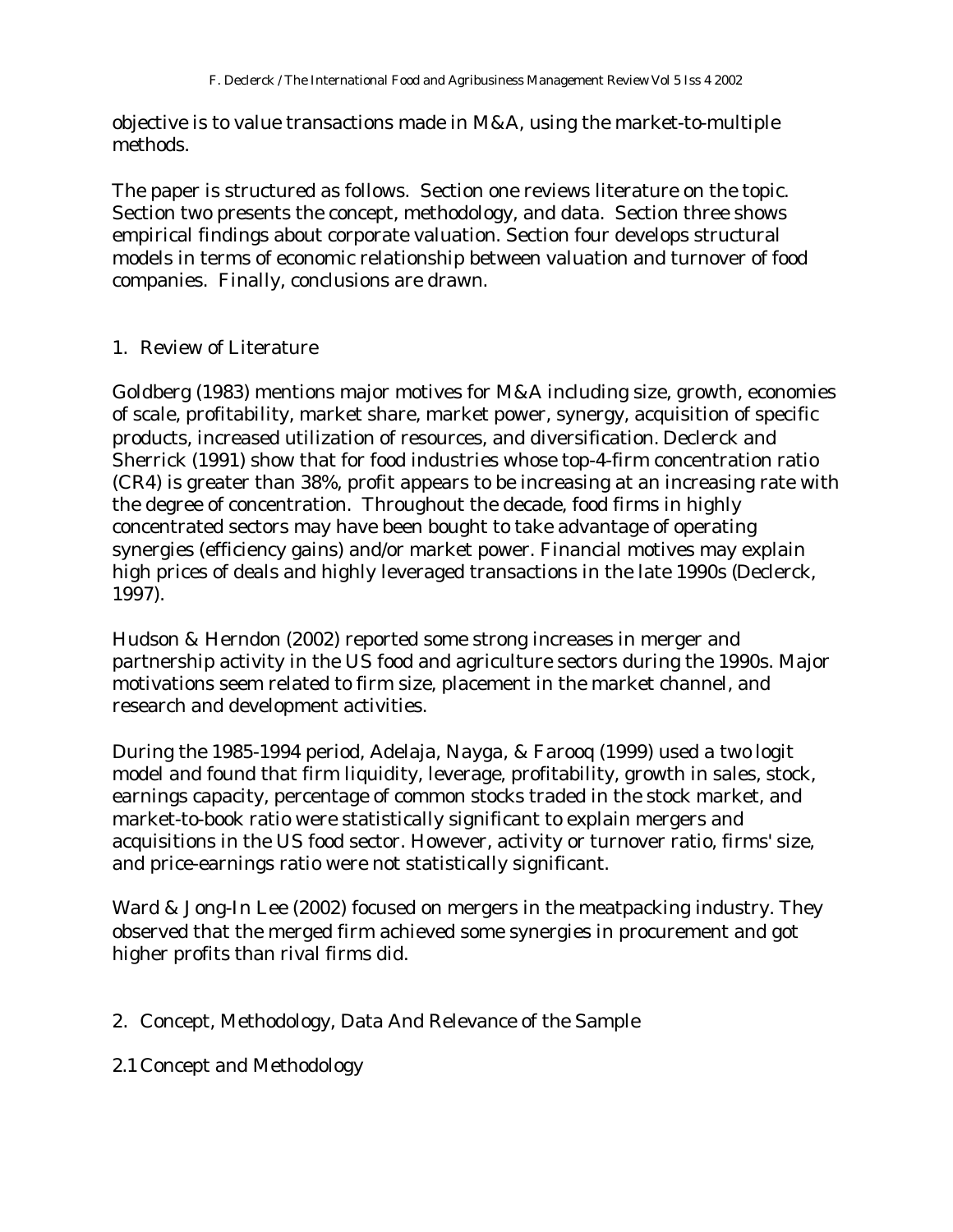objective is to value transactions made in M&A, using the market-to-multiple methods.

The paper is structured as follows. Section one reviews literature on the topic. Section two presents the concept, methodology, and data. Section three shows empirical findings about corporate valuation. Section four develops structural models in terms of economic relationship between valuation and turnover of food companies. Finally, conclusions are drawn.

# 1. Review of Literature

Goldberg (1983) mentions major motives for M&A including size, growth, economies of scale, profitability, market share, market power, synergy, acquisition of specific products, increased utilization of resources, and diversification. Declerck and Sherrick (1991) show that for food industries whose top-4-firm concentration ratio (CR4) is greater than 38%, profit appears to be increasing at an increasing rate with the degree of concentration. Throughout the decade, food firms in highly concentrated sectors may have been bought to take advantage of operating synergies (efficiency gains) and/or market power. Financial motives may explain high prices of deals and highly leveraged transactions in the late 1990s (Declerck, 1997).

Hudson & Herndon (2002) reported some strong increases in merger and partnership activity in the US food and agriculture sectors during the 1990s. Major motivations seem related to firm size, placement in the market channel, and research and development activities.

During the 1985-1994 period, Adelaja, Nayga, & Farooq (1999) used a two logit model and found that firm liquidity, leverage, profitability, growth in sales, stock, earnings capacity, percentage of common stocks traded in the stock market, and market-to-book ratio were statistically significant to explain mergers and acquisitions in the US food sector. However, activity or turnover ratio, firms' size, and price-earnings ratio were not statistically significant.

Ward & Jong-In Lee (2002) focused on mergers in the meatpacking industry. They observed that the merged firm achieved some synergies in procurement and got higher profits than rival firms did.

# 2. Concept, Methodology, Data And Relevance of the Sample

2.1 Concept and Methodology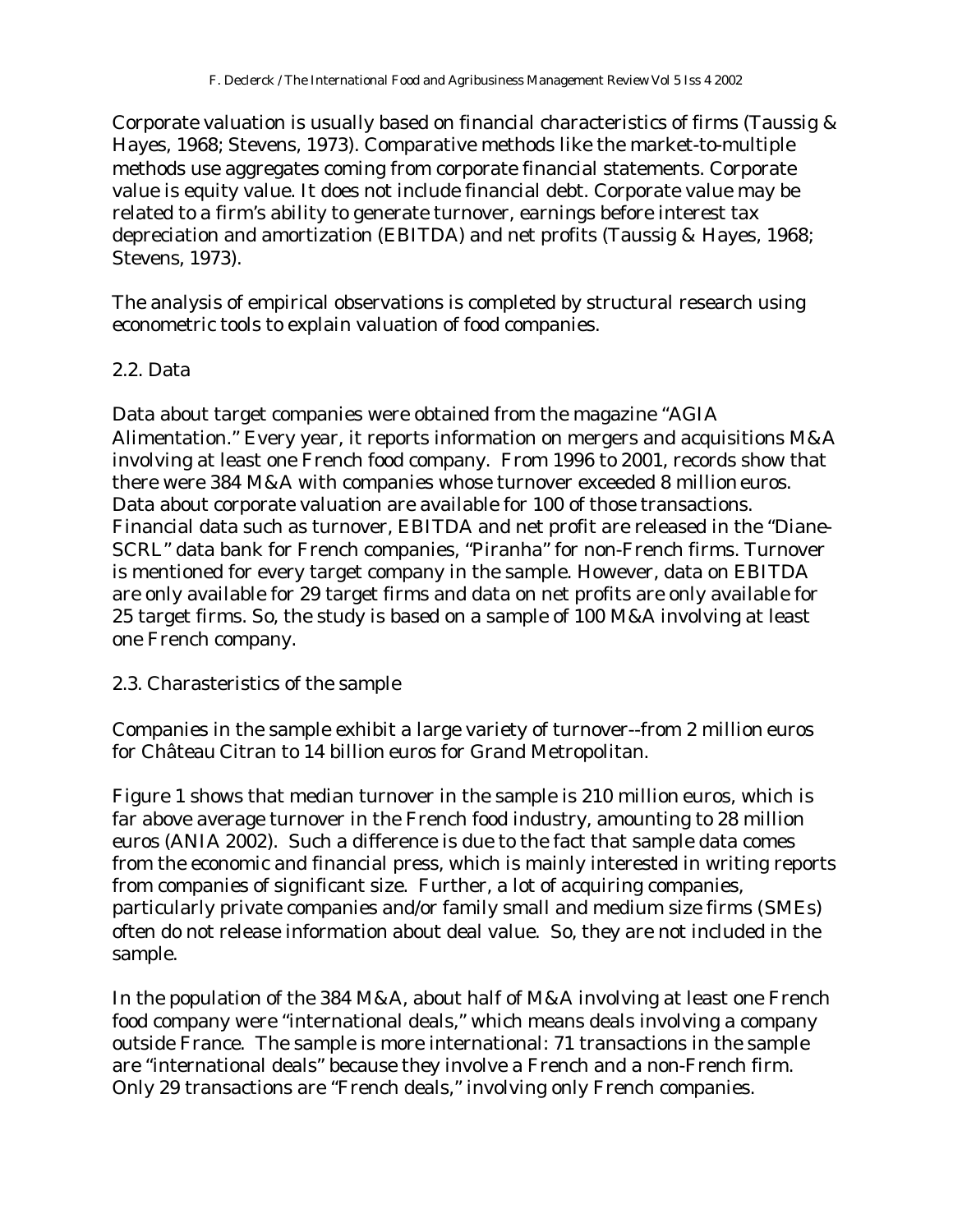Corporate valuation is usually based on financial characteristics of firms (Taussig & Hayes, 1968; Stevens, 1973). Comparative methods like the market-to-multiple methods use aggregates coming from corporate financial statements. Corporate value is equity value. It does not include financial debt. Corporate value may be related to a firm's ability to generate turnover, earnings before interest tax depreciation and amortization (EBITDA) and net profits (Taussig & Hayes, 1968; Stevens, 1973).

The analysis of empirical observations is completed by structural research using econometric tools to explain valuation of food companies.

# 2.2. Data

Data about target companies were obtained from the magazine "AGIA Alimentation." Every year, it reports information on mergers and acquisitions M&A involving at least one French food company. From 1996 to 2001, records show that there were 384 M&A with companies whose turnover exceeded 8 million euros. Data about corporate valuation are available for 100 of those transactions. Financial data such as turnover, EBITDA and net profit are released in the "Diane-SCRL" data bank for French companies, "Piranha" for non-French firms. Turnover is mentioned for every target company in the sample. However, data on EBITDA are only available for 29 target firms and data on net profits are only available for 25 target firms. So, the study is based on a sample of 100 M&A involving at least one French company.

# 2.3. Charasteristics of the sample

Companies in the sample exhibit a large variety of turnover--from 2 million euros for Château Citran to 14 billion euros for Grand Metropolitan.

Figure 1 shows that median turnover in the sample is 210 million euros, which is far above average turnover in the French food industry, amounting to 28 million euros (ANIA 2002). Such a difference is due to the fact that sample data comes from the economic and financial press, which is mainly interested in writing reports from companies of significant size. Further, a lot of acquiring companies, particularly private companies and/or family small and medium size firms (SMEs) often do not release information about deal value. So, they are not included in the sample.

In the population of the 384 M&A, about half of M&A involving at least one French food company were "international deals," which means deals involving a company outside France. The sample is more international: 71 transactions in the sample are "international deals" because they involve a French and a non-French firm. Only 29 transactions are "French deals," involving only French companies.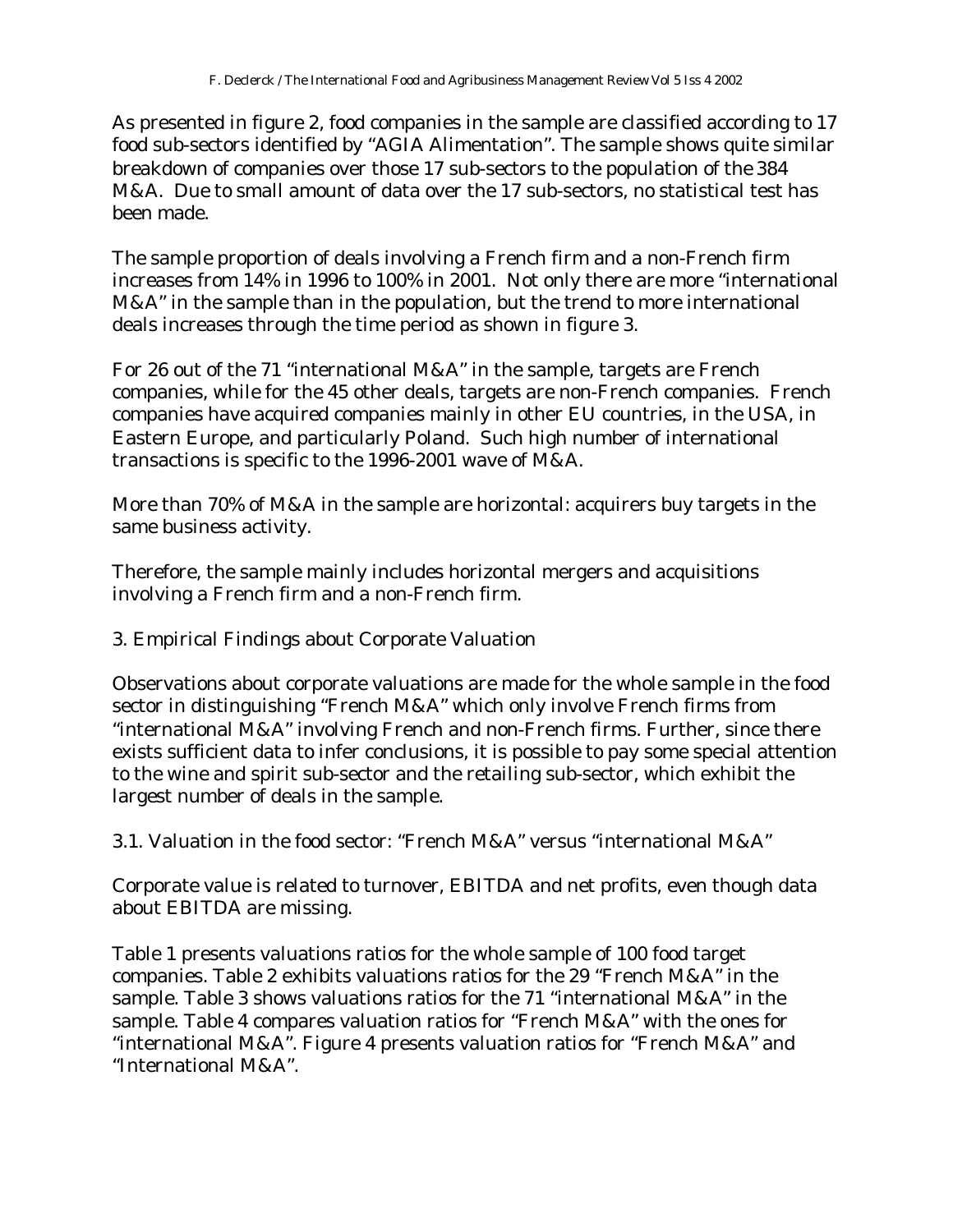As presented in figure 2, food companies in the sample are classified according to 17 food sub-sectors identified by "AGIA Alimentation". The sample shows quite similar breakdown of companies over those 17 sub-sectors to the population of the 384 M&A. Due to small amount of data over the 17 sub-sectors, no statistical test has been made.

The sample proportion of deals involving a French firm and a non-French firm increases from 14% in 1996 to 100% in 2001. Not only there are more "international M&A" in the sample than in the population, but the trend to more international deals increases through the time period as shown in figure 3.

For 26 out of the 71 "international M&A" in the sample, targets are French companies, while for the 45 other deals, targets are non-French companies. French companies have acquired companies mainly in other EU countries, in the USA, in Eastern Europe, and particularly Poland. Such high number of international transactions is specific to the 1996-2001 wave of M&A.

More than 70% of M&A in the sample are horizontal: acquirers buy targets in the same business activity.

Therefore, the sample mainly includes horizontal mergers and acquisitions involving a French firm and a non-French firm.

3. Empirical Findings about Corporate Valuation

Observations about corporate valuations are made for the whole sample in the food sector in distinguishing "French M&A" which only involve French firms from "international M&A" involving French and non-French firms. Further, since there exists sufficient data to infer conclusions, it is possible to pay some special attention to the wine and spirit sub-sector and the retailing sub-sector, which exhibit the largest number of deals in the sample.

3.1. Valuation in the food sector: "French M&A" versus "international M&A"

Corporate value is related to turnover, EBITDA and net profits, even though data about EBITDA are missing.

Table 1 presents valuations ratios for the whole sample of 100 food target companies. Table 2 exhibits valuations ratios for the 29 "French M&A" in the sample. Table 3 shows valuations ratios for the 71 "international M&A" in the sample. Table 4 compares valuation ratios for "French M&A" with the ones for "international M&A". Figure 4 presents valuation ratios for "French M&A" and "International M&A".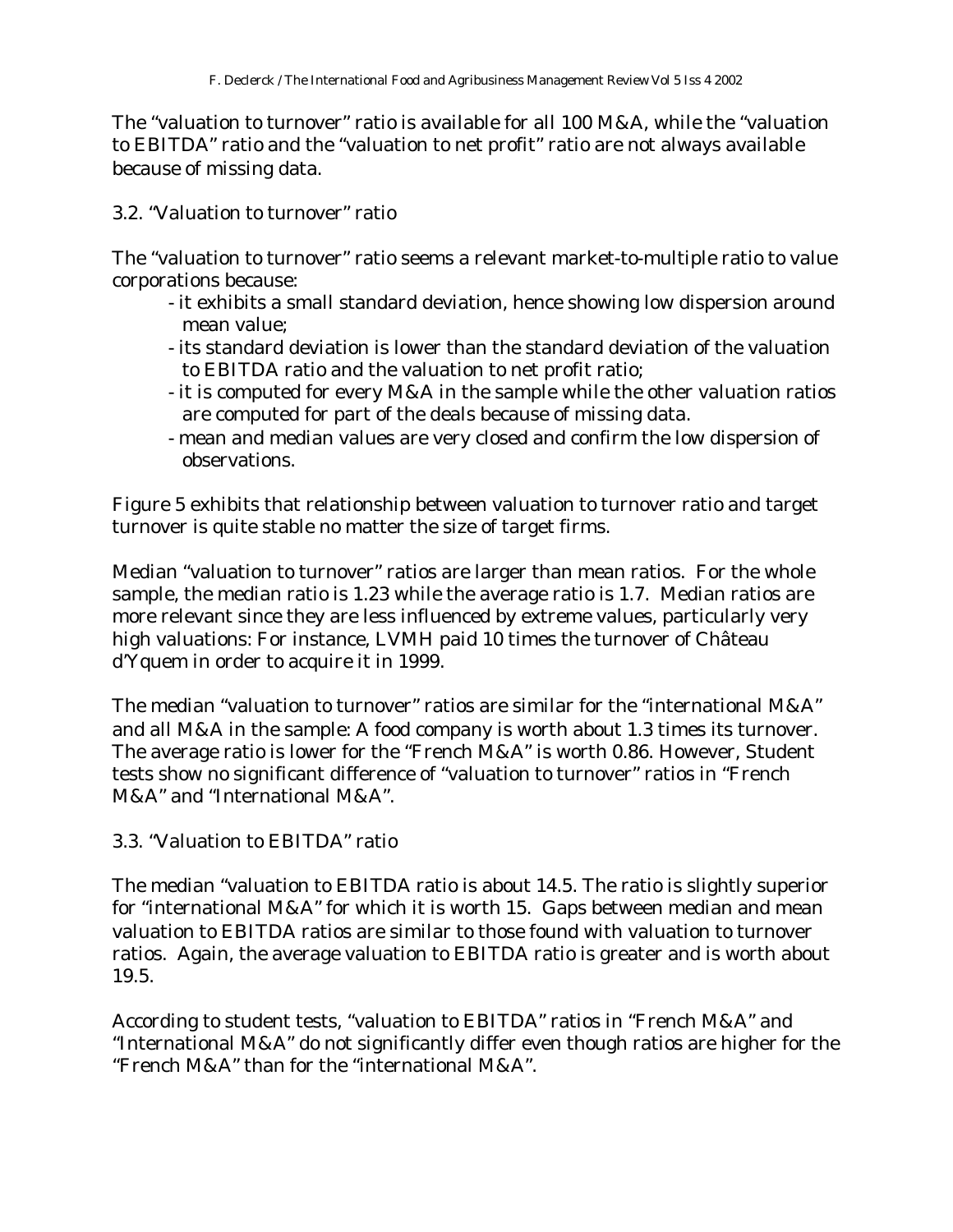The "valuation to turnover" ratio is available for all 100 M&A, while the "valuation to EBITDA" ratio and the "valuation to net profit" ratio are not always available because of missing data.

# 3.2. "Valuation to turnover" ratio

The "valuation to turnover" ratio seems a relevant market-to-multiple ratio to value corporations because:

- it exhibits a small standard deviation, hence showing low dispersion around mean value;
- its standard deviation is lower than the standard deviation of the valuation to EBITDA ratio and the valuation to net profit ratio;
- it is computed for every M&A in the sample while the other valuation ratios are computed for part of the deals because of missing data.
- mean and median values are very closed and confirm the low dispersion of observations.

Figure 5 exhibits that relationship between valuation to turnover ratio and target turnover is quite stable no matter the size of target firms.

Median "valuation to turnover" ratios are larger than mean ratios. For the whole sample, the median ratio is 1.23 while the average ratio is 1.7. Median ratios are more relevant since they are less influenced by extreme values, particularly very high valuations: For instance, LVMH paid 10 times the turnover of Château d'Yquem in order to acquire it in 1999.

The median "valuation to turnover" ratios are similar for the "international M&A" and all M&A in the sample: A food company is worth about 1.3 times its turnover. The average ratio is lower for the "French M&A" is worth 0.86. However, Student tests show no significant difference of "valuation to turnover" ratios in "French M&A" and "International M&A".

# 3.3. "Valuation to EBITDA" ratio

The median "valuation to EBITDA ratio is about 14.5. The ratio is slightly superior for "international M&A" for which it is worth 15. Gaps between median and mean valuation to EBITDA ratios are similar to those found with valuation to turnover ratios. Again, the average valuation to EBITDA ratio is greater and is worth about 19.5.

According to student tests, "valuation to EBITDA" ratios in "French M&A" and "International M&A" do not significantly differ even though ratios are higher for the "French M&A" than for the "international M&A".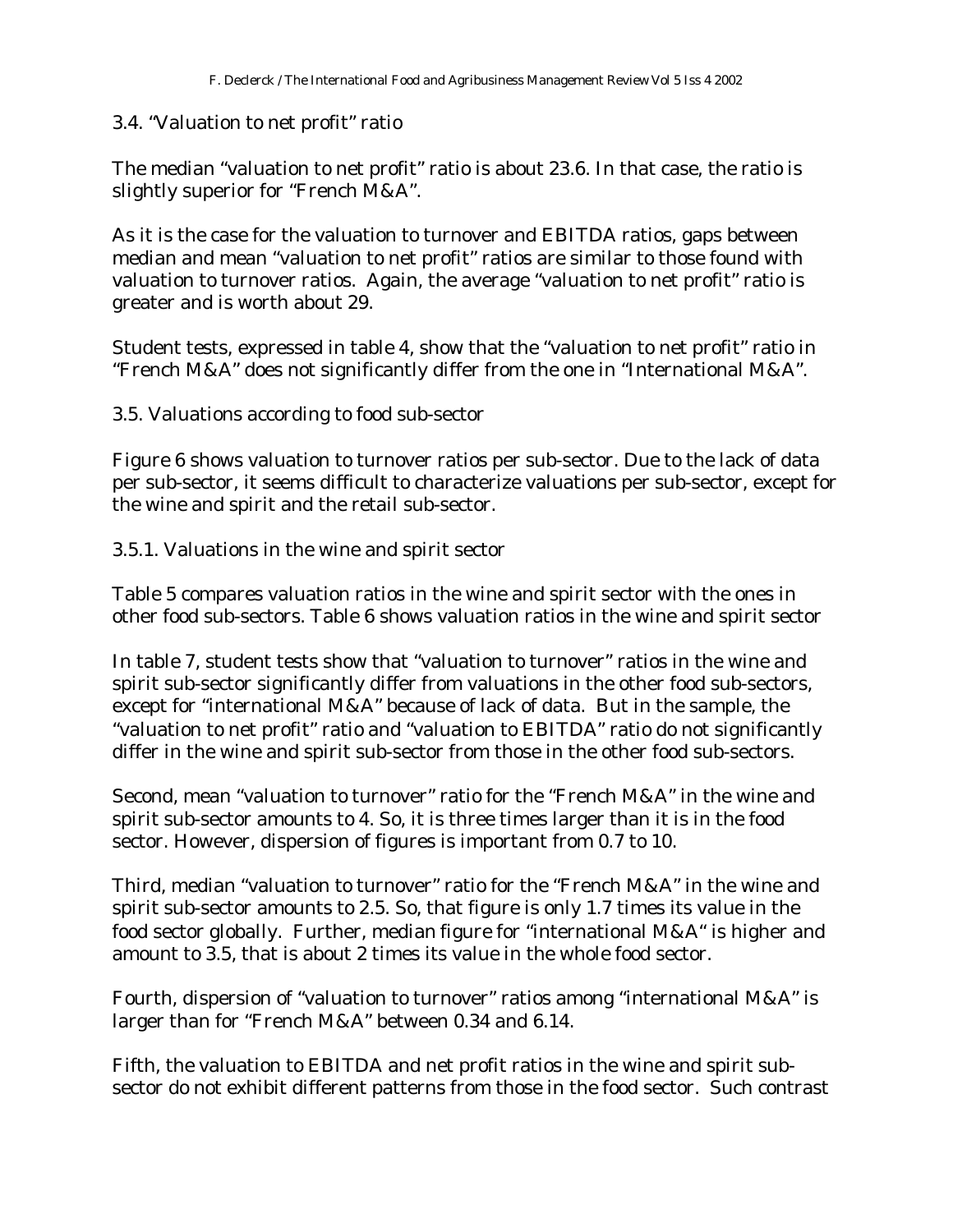# 3.4. "Valuation to net profit" ratio

The median "valuation to net profit" ratio is about 23.6. In that case, the ratio is slightly superior for "French M&A".

As it is the case for the valuation to turnover and EBITDA ratios, gaps between median and mean "valuation to net profit" ratios are similar to those found with valuation to turnover ratios. Again, the average "valuation to net profit" ratio is greater and is worth about 29.

Student tests, expressed in table 4, show that the "valuation to net profit" ratio in "French M&A" does not significantly differ from the one in "International M&A".

3.5. Valuations according to food sub-sector

Figure 6 shows valuation to turnover ratios per sub-sector. Due to the lack of data per sub-sector, it seems difficult to characterize valuations per sub-sector, except for the wine and spirit and the retail sub-sector.

3.5.1. Valuations in the wine and spirit sector

Table 5 compares valuation ratios in the wine and spirit sector with the ones in other food sub-sectors. Table 6 shows valuation ratios in the wine and spirit sector

In table 7, student tests show that "valuation to turnover" ratios in the wine and spirit sub-sector significantly differ from valuations in the other food sub-sectors, except for "international M&A" because of lack of data. But in the sample, the "valuation to net profit" ratio and "valuation to EBITDA" ratio do not significantly differ in the wine and spirit sub-sector from those in the other food sub-sectors.

Second, mean "valuation to turnover" ratio for the "French M&A" in the wine and spirit sub-sector amounts to 4. So, it is three times larger than it is in the food sector. However, dispersion of figures is important from 0.7 to 10.

Third, median "valuation to turnover" ratio for the "French M&A" in the wine and spirit sub-sector amounts to 2.5. So, that figure is only 1.7 times its value in the food sector globally. Further, median figure for "international M&A" is higher and amount to 3.5, that is about 2 times its value in the whole food sector.

Fourth, dispersion of "valuation to turnover" ratios among "international M&A" is larger than for "French M&A" between 0.34 and 6.14.

Fifth, the valuation to EBITDA and net profit ratios in the wine and spirit subsector do not exhibit different patterns from those in the food sector. Such contrast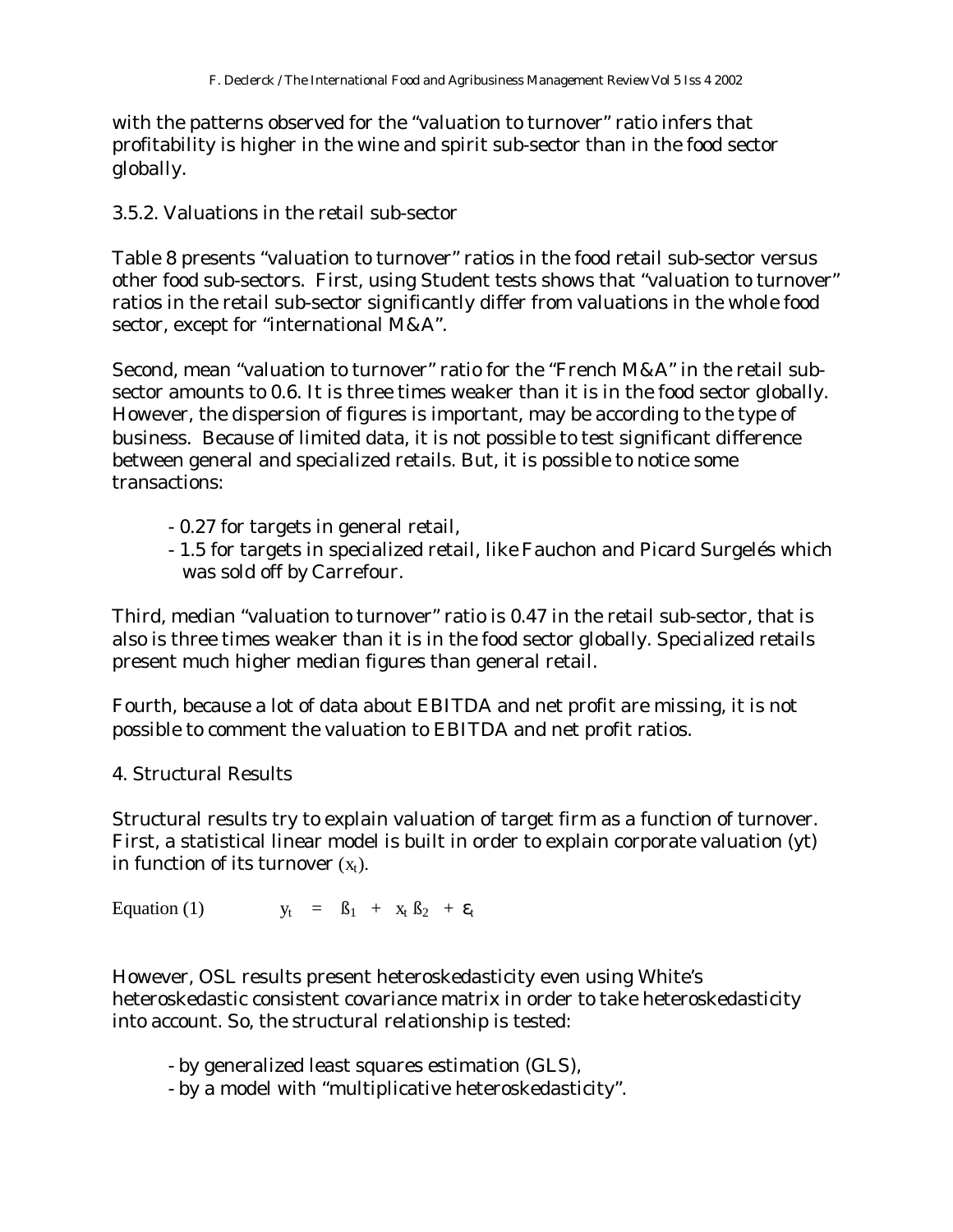with the patterns observed for the "valuation to turnover" ratio infers that profitability is higher in the wine and spirit sub-sector than in the food sector globally.

3.5.2. Valuations in the retail sub-sector

Table 8 presents "valuation to turnover" ratios in the food retail sub-sector versus other food sub-sectors. First, using Student tests shows that "valuation to turnover" ratios in the retail sub-sector significantly differ from valuations in the whole food sector, except for "international M&A".

Second, mean "valuation to turnover" ratio for the "French M&A" in the retail subsector amounts to 0.6. It is three times weaker than it is in the food sector globally. However, the dispersion of figures is important, may be according to the type of business. Because of limited data, it is not possible to test significant difference between general and specialized retails. But, it is possible to notice some transactions:

- 0.27 for targets in general retail,
- 1.5 for targets in specialized retail, like Fauchon and Picard Surgelés which was sold off by Carrefour.

Third, median "valuation to turnover" ratio is 0.47 in the retail sub-sector, that is also is three times weaker than it is in the food sector globally. Specialized retails present much higher median figures than general retail.

Fourth, because a lot of data about EBITDA and net profit are missing, it is not possible to comment the valuation to EBITDA and net profit ratios.

4. Structural Results

Structural results try to explain valuation of target firm as a function of turnover. First, a statistical linear model is built in order to explain corporate valuation (yt) in function of its turnover  $(x_t)$ .

Equation (1)  $y_t = \beta_1 + x_t \beta_2 + \varepsilon_t$ 

However, OSL results present heteroskedasticity even using White's heteroskedastic consistent covariance matrix in order to take heteroskedasticity into account. So, the structural relationship is tested:

- by generalized least squares estimation (GLS),

- by a model with "multiplicative heteroskedasticity".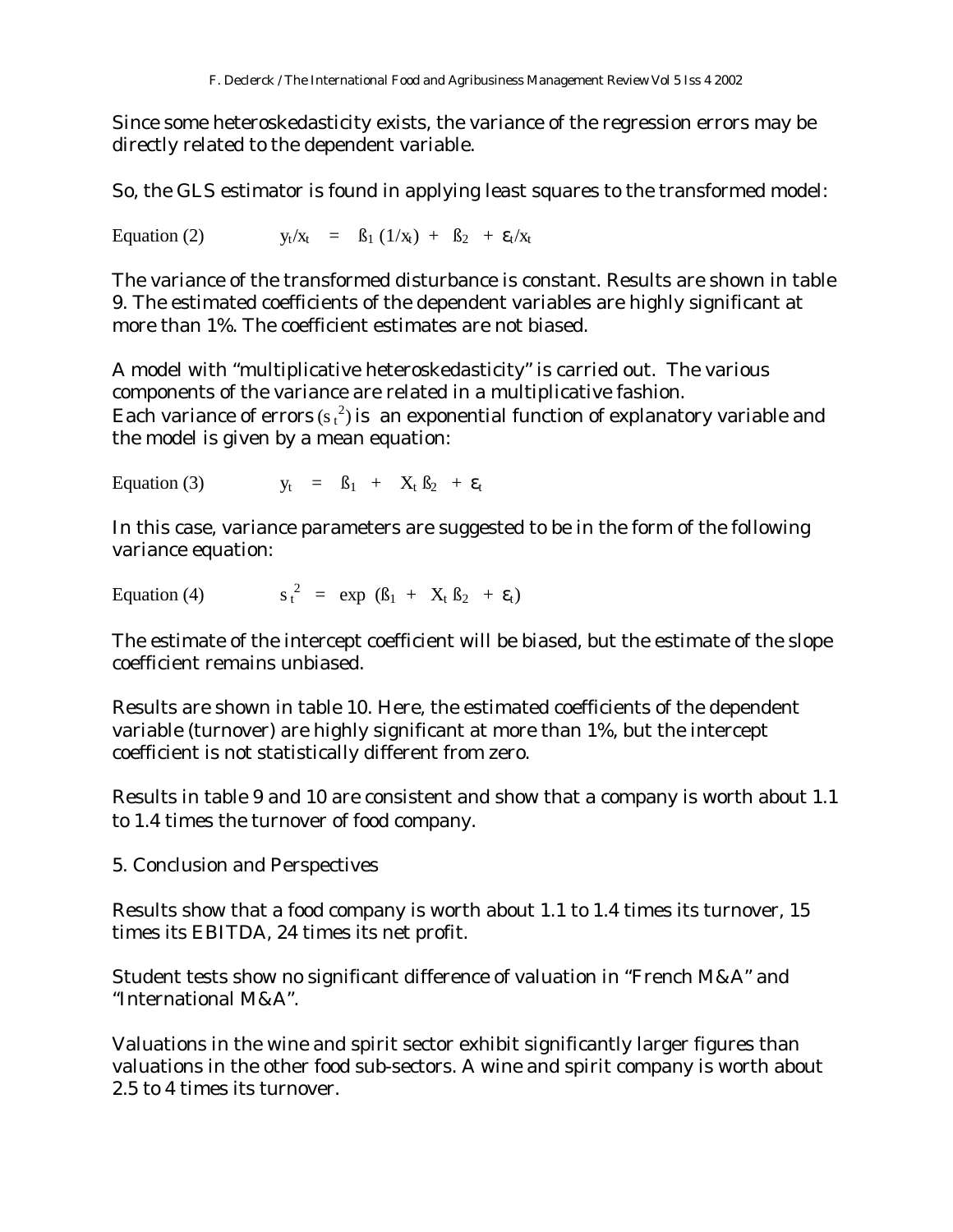Since some heteroskedasticity exists, the variance of the regression errors may be directly related to the dependent variable.

So, the GLS estimator is found in applying least squares to the transformed model:

Equation (2)  $y_t/x_t = \beta_1 (1/x_t) + \beta_2 + \varepsilon_t/x_t$ 

The variance of the transformed disturbance is constant. Results are shown in table 9. The estimated coefficients of the dependent variables are highly significant at more than 1%. The coefficient estimates are not biased.

A model with "multiplicative heteroskedasticity" is carried out. The various components of the variance are related in a multiplicative fashion. Each variance of errors (s  $_{\rm t}$   $^2$ ) is  $\,$  an exponential function of explanatory variable and the model is given by a mean equation:

Equation (3)  $y_t = B_1 + X_t B_2 + \varepsilon_t$ 

In this case, variance parameters are suggested to be in the form of the following variance equation:

Equation  $(4)$  $^2$  = exp ( $\beta_1$  +  $X_t$   $\beta_2$  +  $\varepsilon_t$ )

The estimate of the intercept coefficient will be biased, but the estimate of the slope coefficient remains unbiased.

Results are shown in table 10. Here, the estimated coefficients of the dependent variable (turnover) are highly significant at more than 1%, but the intercept coefficient is not statistically different from zero.

Results in table 9 and 10 are consistent and show that a company is worth about 1.1 to 1.4 times the turnover of food company.

5. Conclusion and Perspectives

Results show that a food company is worth about 1.1 to 1.4 times its turnover, 15 times its EBITDA, 24 times its net profit.

Student tests show no significant difference of valuation in "French M&A" and "International M&A".

Valuations in the wine and spirit sector exhibit significantly larger figures than valuations in the other food sub-sectors. A wine and spirit company is worth about 2.5 to 4 times its turnover.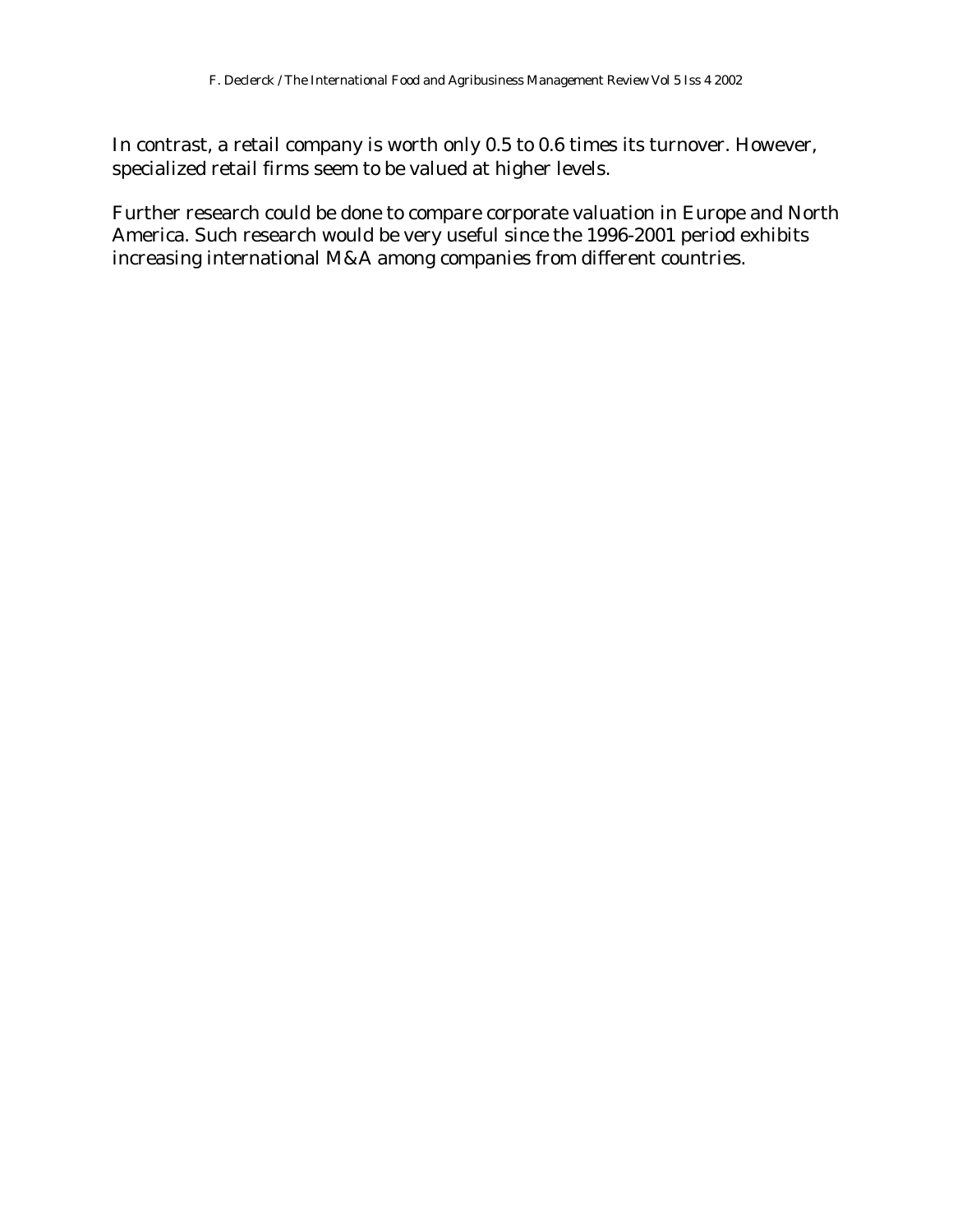In contrast, a retail company is worth only 0.5 to 0.6 times its turnover. However, specialized retail firms seem to be valued at higher levels.

Further research could be done to compare corporate valuation in Europe and North America. Such research would be very useful since the 1996-2001 period exhibits increasing international M&A among companies from different countries.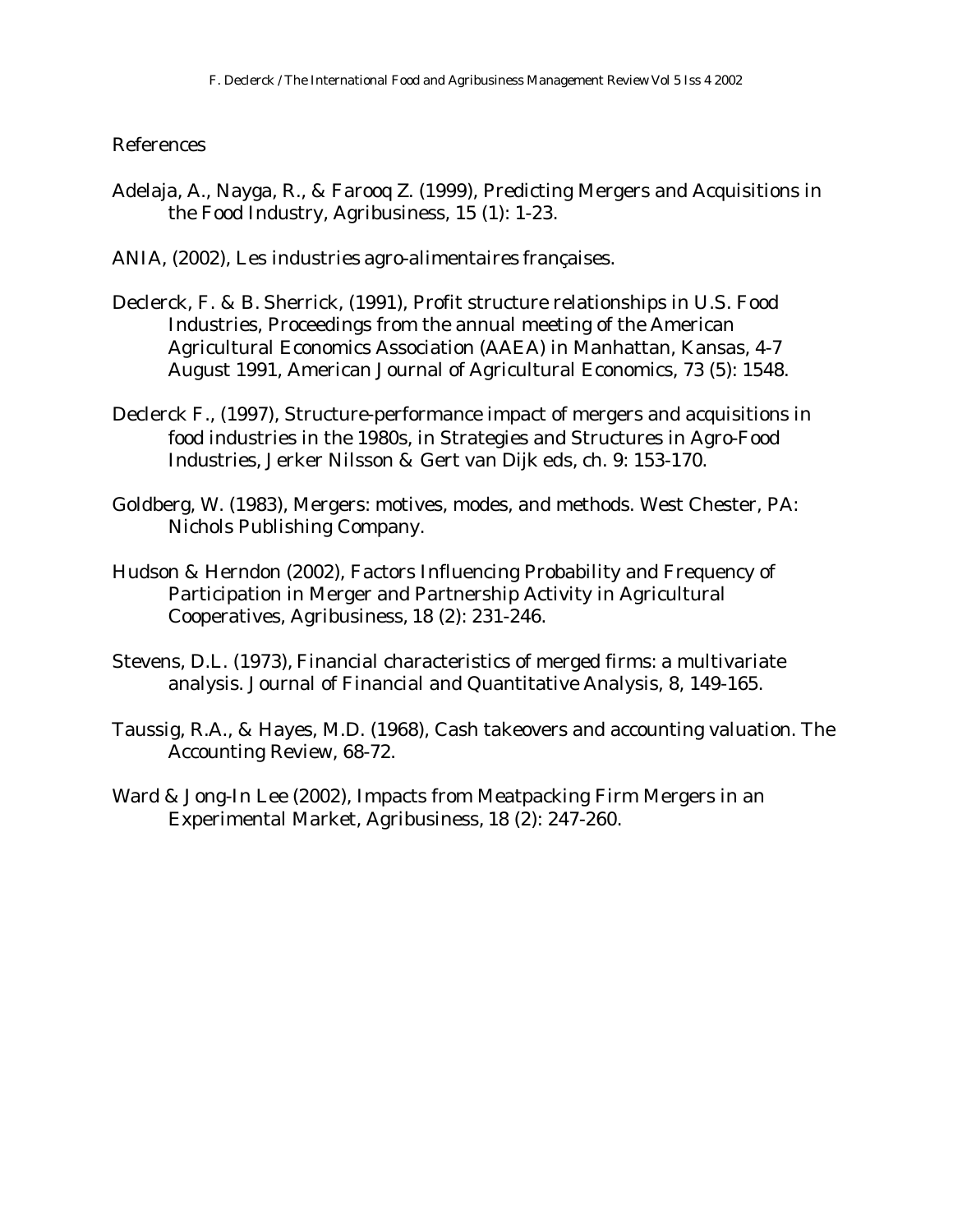### References

- Adelaja, A., Nayga, R., & Farooq Z. (1999), Predicting Mergers and Acquisitions in the Food Industry, Agribusiness, 15 (1): 1-23.
- ANIA, (2002), Les industries agro-alimentaires françaises.
- Declerck, F. & B. Sherrick, (1991), Profit structure relationships in U.S. Food Industries, Proceedings from the annual meeting of the American Agricultural Economics Association (AAEA) in Manhattan, Kansas, 4-7 August 1991, American Journal of Agricultural Economics, 73 (5): 1548.
- Declerck F., (1997), Structure-performance impact of mergers and acquisitions in food industries in the 1980s, in Strategies and Structures in Agro-Food Industries, Jerker Nilsson & Gert van Dijk eds, ch. 9: 153-170.
- Goldberg, W. (1983), Mergers: motives, modes, and methods. West Chester, PA: Nichols Publishing Company.
- Hudson & Herndon (2002), Factors Influencing Probability and Frequency of Participation in Merger and Partnership Activity in Agricultural Cooperatives, Agribusiness, 18 (2): 231-246.
- Stevens, D.L. (1973), Financial characteristics of merged firms: a multivariate analysis. Journal of Financial and Quantitative Analysis, 8, 149-165.
- Taussig, R.A., & Hayes, M.D. (1968), Cash takeovers and accounting valuation. The Accounting Review, 68-72.
- Ward & Jong-In Lee (2002), Impacts from Meatpacking Firm Mergers in an Experimental Market, Agribusiness, 18 (2): 247-260.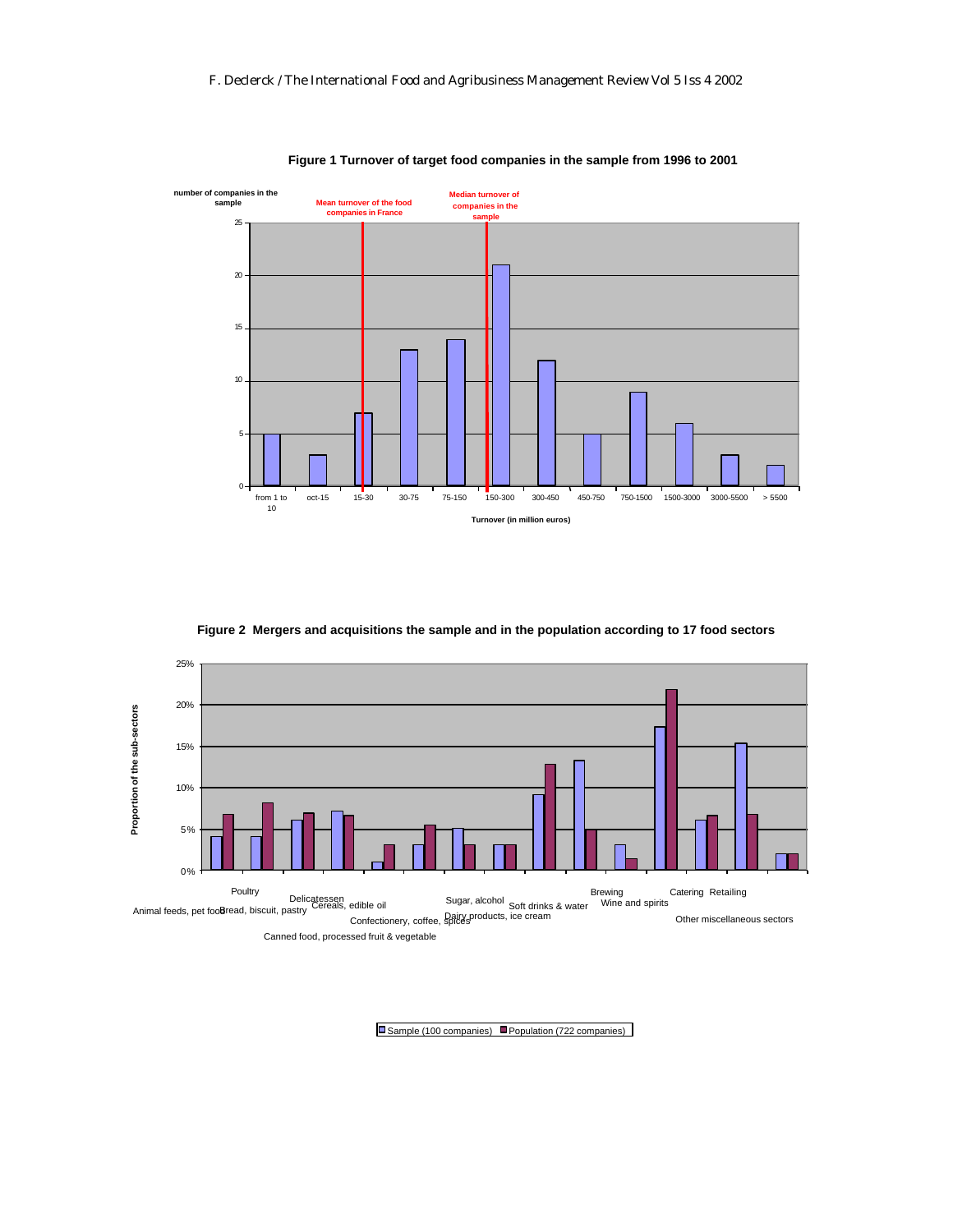

**Figure 1 Turnover of target food companies in the sample from 1996 to 2001**

**Figure 2 Mergers and acquisitions the sample and in the population according to 17 food sectors**



Sample (100 companies) Population (722 companies)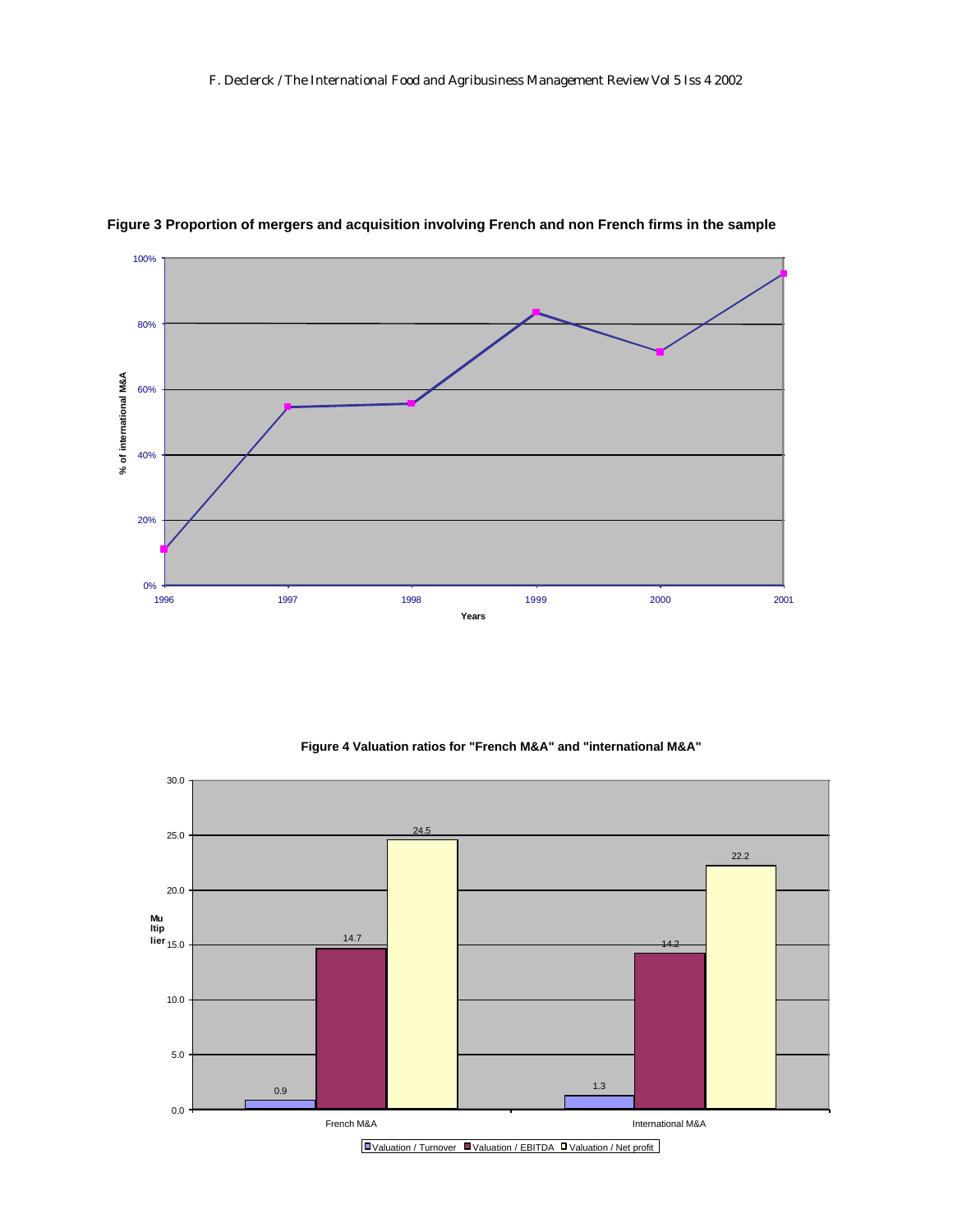

#### **Figure 3 Proportion of mergers and acquisition involving French and non French firms in the sample**



#### **Figure 4 Valuation ratios for "French M&A" and "international M&A"**

<sup>■</sup> Valuation / Turnover ■ Valuation / EBITDA ■ Valuation / Net profit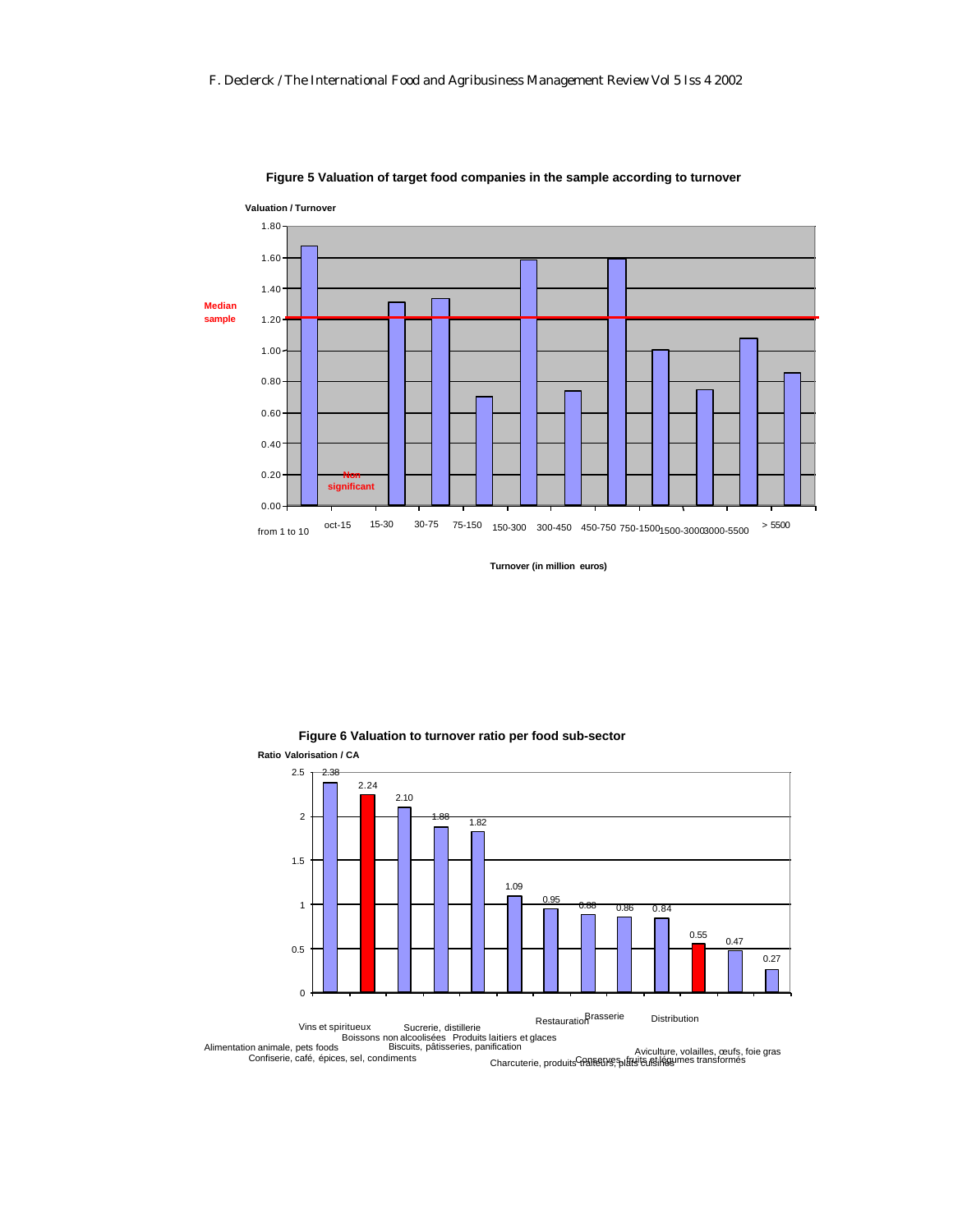

#### **Figure 5 Valuation of target food companies in the sample according to turnover**

**Turnover (in million euros)**



**Figure 6 Valuation to turnover ratio per food sub-sector**

Alimentation animale, pets foods on alcoolisées Produits laitiers et glaces<br>Biscuits, pâtisseries, panification

Confiserie, café, épices, sel, condiments nicauori<br>Charcuterie, produits traiteurs, splatelites, volailles, œufs, foie gras<br>Charcuterie, produits traiteurs, splatelites, foie gras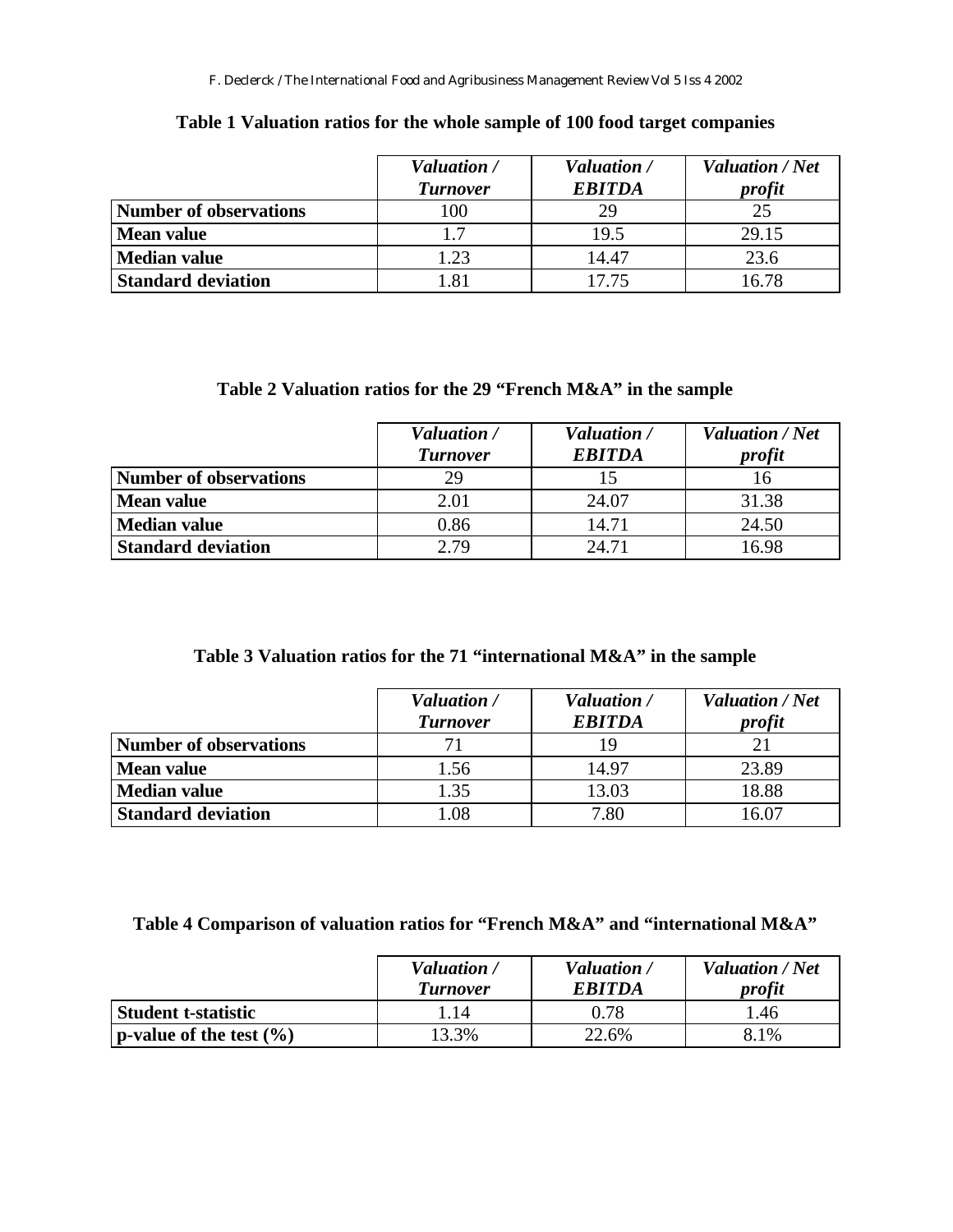|                           | Valuation /     | Valuation /   | <b>Valuation / Net</b> |
|---------------------------|-----------------|---------------|------------------------|
|                           | <b>Turnover</b> | <b>EBITDA</b> | profit                 |
| Number of observations    | 100             |               | 25                     |
| Mean value                | 17              | 19.5          | 29.15                  |
| Median value              | 1.23            | 14.47         | 23.6                   |
| <b>Standard deviation</b> | 1.81            | 17.75         | 16.78                  |

### **Table 1 Valuation ratios for the whole sample of 100 food target companies**

# **Table 2 Valuation ratios for the 29 "French M&A" in the sample**

|                               | Valuation /<br><b>Turnover</b> | Valuation /<br><b>EBITDA</b> | <b>Valuation</b> / Net<br>profit |
|-------------------------------|--------------------------------|------------------------------|----------------------------------|
| <b>Number of observations</b> | 29                             |                              |                                  |
| <b>Mean value</b>             | 2.01                           | 24.07                        | 31.38                            |
| <b>Median value</b>           | 0.86                           | 14.71                        | 24.50                            |
| <b>Standard deviation</b>     | 2.79                           | 24.71                        | 16.98                            |

# **Table 3 Valuation ratios for the 71 "international M&A" in the sample**

|                           | Valuation /<br><b>Turnover</b> | Valuation /<br><b>EBITDA</b> | <b>Valuation</b> / Net<br>profit |
|---------------------------|--------------------------------|------------------------------|----------------------------------|
| Number of observations    |                                | 19                           |                                  |
| <b>Mean value</b>         | 1.56                           | 14.97                        | 23.89                            |
| <b>Median value</b>       | 1.35                           | 13.03                        | 18.88                            |
| <b>Standard deviation</b> | 1.08                           | 7.80                         | 16.07                            |

# **Table 4 Comparison of valuation ratios for "French M&A" and "international M&A"**

|                             | Valuation /<br><b>Turnover</b> | Valuation /<br><i><b>EBITDA</b></i> | <b>Valuation / Net</b><br>profit |
|-----------------------------|--------------------------------|-------------------------------------|----------------------------------|
| <b>Student t-statistic</b>  | l.14                           | 0.78                                | .46                              |
| p-value of the test $(\% )$ | 13.3%                          | 22.6%                               | 8.1%                             |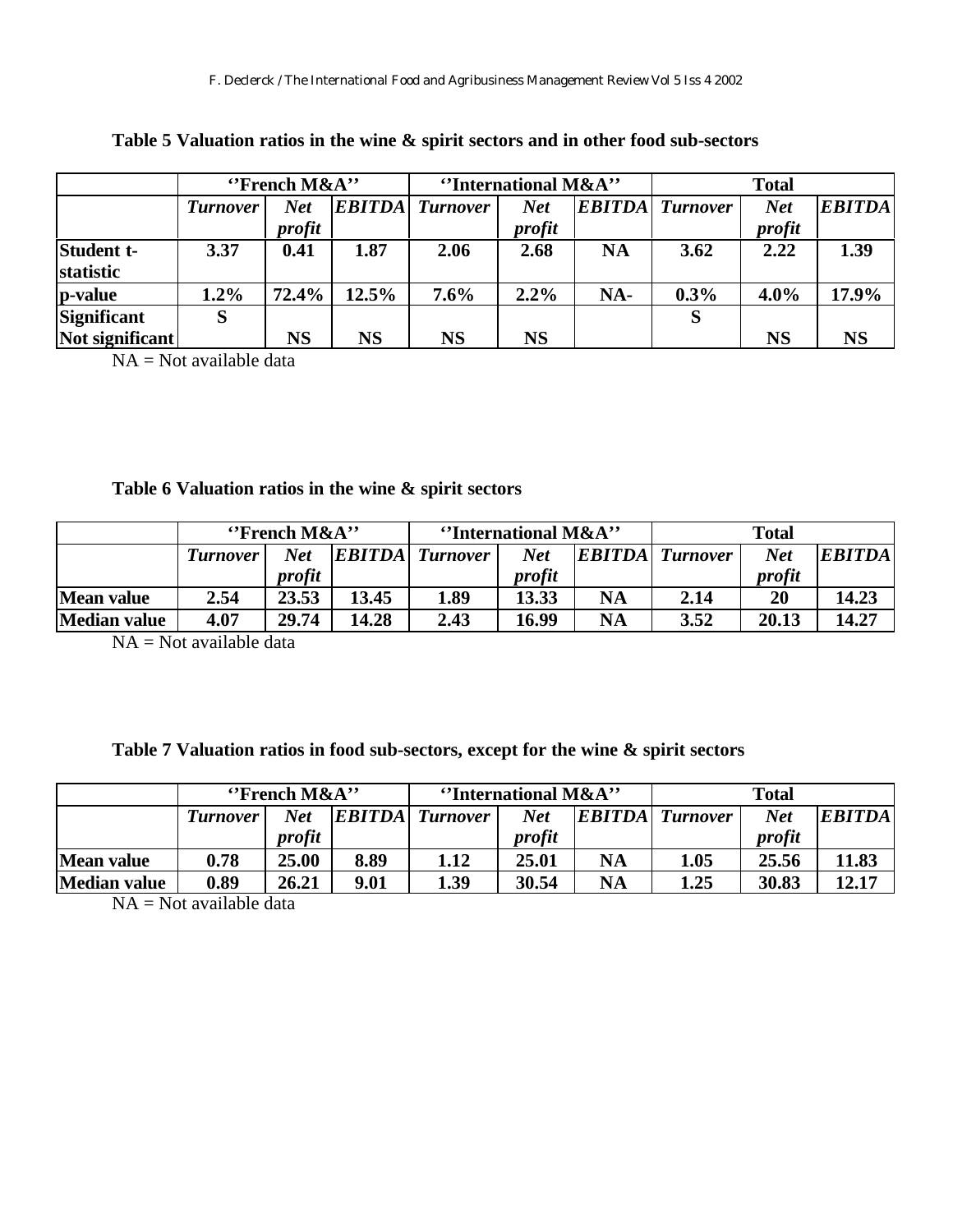|                         | $"$ French M&A" |           | "International M&A" |                 |            | <b>Total</b> |                        |            |               |
|-------------------------|-----------------|-----------|---------------------|-----------------|------------|--------------|------------------------|------------|---------------|
|                         | <i>Turnover</i> | Net       | <b>EBITDA</b>       | <b>Turnover</b> | <b>Net</b> |              | <b>EBITDA</b> Turnover | <b>Net</b> | <b>EBITDA</b> |
|                         |                 | profit    |                     |                 | profit     |              |                        | profit     |               |
| Student t-<br>statistic | 3.37            | 0.41      | 1.87                | 2.06            | 2.68       | <b>NA</b>    | 3.62                   | 2.22       | 1.39          |
| p-value                 | $1.2\%$         | 72.4%     | $12.5\%$            | 7.6%            | $2.2\%$    | NA-          | 0.3%                   | $4.0\%$    | 17.9%         |
| Significant             | S               |           |                     |                 |            |              | S                      |            |               |
| Not significant         |                 | <b>NS</b> | <b>NS</b>           | <b>NS</b>       | NS         |              |                        | NS         | <b>NS</b>     |

**Table 5 Valuation ratios in the wine & spirit sectors and in other food sub-sectors**

NA = Not available data

### **Table 6 Valuation ratios in the wine & spirit sectors**

|              | $"$ French M&A" |            | "International M&A" |                        |            | <b>Total</b> |                   |            |               |
|--------------|-----------------|------------|---------------------|------------------------|------------|--------------|-------------------|------------|---------------|
|              | <b>Turnover</b> | <b>Net</b> |                     | <b>EBITDA</b> Turnover | <b>Net</b> |              | $EBITDA$ Turnover | <b>Net</b> | <b>EBITDA</b> |
|              |                 | profit     |                     |                        | profit     |              |                   | profit     |               |
| Mean value   | 2.54            | 23.53      | 13.45               | 1.89                   | 13.33      | <b>NA</b>    | 2.14              | 20         | 14.23         |
| Median value | 4.07            | 29.74      | 14.28               | 2.43                   | 16.99      | NA           | 3.52              | 20.13      | 14.27         |

 $NA = Not available data$ 

### **Table 7 Valuation ratios in food sub-sectors, except for the wine & spirit sectors**

|                     | $"$ French M&A" |            | "International M&A" |                        |            | <b>Total</b>  |                 |            |               |
|---------------------|-----------------|------------|---------------------|------------------------|------------|---------------|-----------------|------------|---------------|
|                     | <b>Turnover</b> | <b>Net</b> |                     | <b>EBITDA</b> Turnover | <b>Net</b> | <b>EBITDA</b> | <b>Turnover</b> | <b>Net</b> | <b>EBITDA</b> |
|                     |                 | profit     |                     |                        | profit     |               |                 | profit     |               |
| <b>Mean value</b>   | 0.78            | 25.00      | 8.89                | 1.12                   | 25.01      | NA            | 1.05            | 25.56      | 11.83         |
| <b>Median value</b> | 0.89            | 26.21      | 9.01                | 1.39                   | 30.54      | NA            | 1.25            | 30.83      | 12.17         |

 $NA = Not available data$